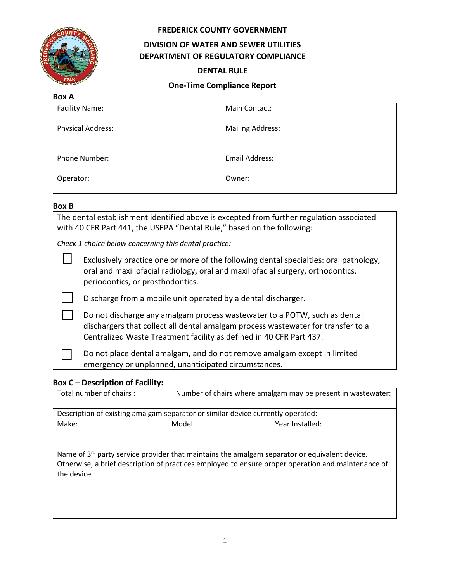

**Box A**

### **FREDERICK COUNTY GOVERNMENT**

# **DIVISION OF WATER AND SEWER UTILITIES DEPARTMENT OF REGULATORY COMPLIANCE**

#### **DENTAL RULE**

### **One-Time Compliance Report**

| ד הטש                    |                         |  |  |
|--------------------------|-------------------------|--|--|
| <b>Facility Name:</b>    | Main Contact:           |  |  |
| <b>Physical Address:</b> | <b>Mailing Address:</b> |  |  |
| Phone Number:            | <b>Email Address:</b>   |  |  |
| Operator:                | Owner:                  |  |  |

#### **Box B**

The dental establishment identified above is excepted from further regulation associated with 40 CFR Part 441, the USEPA "Dental Rule," based on the following:

*Check 1 choice below concerning this dental practice:*

| Exclusively practice one or more of the following dental specialties: oral pathology, |
|---------------------------------------------------------------------------------------|
| oral and maxillofacial radiology, oral and maxillofacial surgery, orthodontics,       |
| periodontics, or prosthodontics.                                                      |

Discharge from a mobile unit operated by a dental discharger.

☐ Do not discharge any amalgam process wastewater to a POTW, such as dental dischargers that collect all dental amalgam process wastewater for transfer to a Centralized Waste Treatment facility as defined in 40 CFR Part 437.

Do not place dental amalgam, and do not remove amalgam except in limited emergency or unplanned, unanticipated circumstances.

### **Box C – Description of Facility:**

| Total number of chairs :                                                                                          |        | Number of chairs where amalgam may be present in wastewater: |  |  |  |  |
|-------------------------------------------------------------------------------------------------------------------|--------|--------------------------------------------------------------|--|--|--|--|
| Description of existing amalgam separator or similar device currently operated:                                   |        |                                                              |  |  |  |  |
| Make:                                                                                                             | Model: | Year Installed:                                              |  |  |  |  |
|                                                                                                                   |        |                                                              |  |  |  |  |
| Name of $3^{rd}$ party service provider that maintains the amalgam separator or equivalent device.                |        |                                                              |  |  |  |  |
| Otherwise, a brief description of practices employed to ensure proper operation and maintenance of<br>the device. |        |                                                              |  |  |  |  |
|                                                                                                                   |        |                                                              |  |  |  |  |